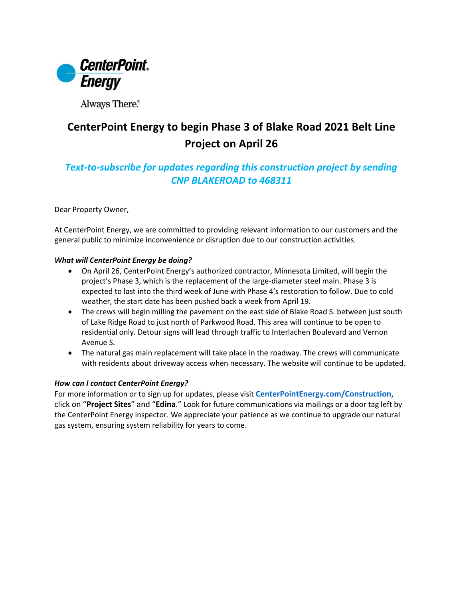

Always There.®

## **CenterPoint Energy to begin Phase 3 of Blake Road 2021 Belt Line Project on April 26**

## *Text-to-subscribe for updates regarding this construction project by sending CNP BLAKEROAD to 468311*

Dear Property Owner,

At CenterPoint Energy, we are committed to providing relevant information to our customers and the general public to minimize inconvenience or disruption due to our construction activities.

## *What will CenterPoint Energy be doing?*

- On April 26, CenterPoint Energy's authorized contractor, Minnesota Limited, will begin the project's Phase 3, which is the replacement of the large-diameter steel main. Phase 3 is expected to last into the third week of June with Phase 4's restoration to follow. Due to cold weather, the start date has been pushed back a week from April 19.
- The crews will begin milling the pavement on the east side of Blake Road S. between just south of Lake Ridge Road to just north of Parkwood Road. This area will continue to be open to residential only. Detour signs will lead through traffic to Interlachen Boulevard and Vernon Avenue S.
- The natural gas main replacement will take place in the roadway. The crews will communicate with residents about driveway access when necessary. The website will continue to be updated.

## *How can I contact CenterPoint Energy?*

For more information or to sign up for updates, please visit **[CenterPointEnergy.com/Construction](http://www.centerpointenergy.com/Construction)**, click on "**Project Sites**" and "**Edina**." Look for future communications via mailings or a door tag left by the CenterPoint Energy inspector. We appreciate your patience as we continue to upgrade our natural gas system, ensuring system reliability for years to come.